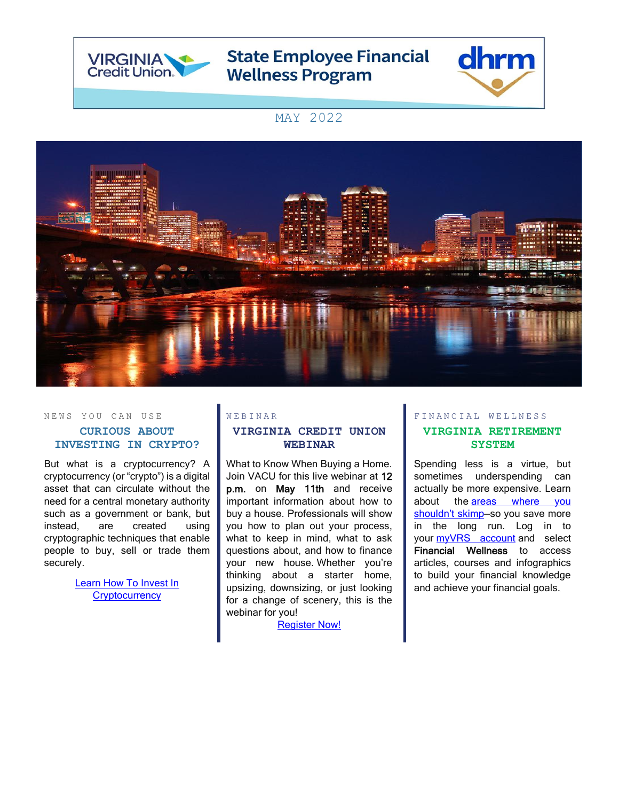

# **State Employee Financial Wellness Program**



## MAY 2022



#### NEWS YOU CAN USE **CURIOUS ABOUT INVESTING IN CRYPTO?**

But what is a cryptocurrency? A cryptocurrency (or "crypto") is a digital asset that can circulate without the need for a central monetary authority such as a government or bank, but instead, are created using cryptographic techniques that enable people to buy, sell or trade them securely.

> **Learn How To Invest In [Cryptocurrency](https://www.nerdwallet.com/article/investing/how-to-invest-in-bitcoin)**

### **VIRGINIA CREDIT UNION WEBINAR**

W E B I N A R

What to Know When Buying a Home. Join VACU for this live webinar at 12 p.m. on May 11th and receive important information about how to buy a house. Professionals will show you how to plan out your process, what to keep in mind, what to ask questions about, and how to finance your new house. Whether you're thinking about a starter home, upsizing, downsizing, or just looking for a change of scenery, this is the webinar for you!

[Register Now!](https://vacu.webex.com/mw3300/mywebex/default.do?nomenu=true&siteurl=vacu&service=6&rnd=0.8773017609673717&main_url=https%3A%2F%2Fvacu.webex.com%2Fec3300%2Feventcenter%2Fevent%2FeventAction.do%3FtheAction%3Ddetail%26%26%26EMK%3D4832534b00000005b739256affbd73cd061a4682956d4fcfd5a801774fb1ed5ab100c8b39263bd9d%26siteurl%3Dvacu%26confViewID%3D225014833138901141%26encryptTicket%3DSDJTSwAAAAXRwgKoaIiyZVQoZQ4BLZHfVcraIQjCjfUar7FQCKosGA2%26)

### FINANCIAL WELLNESS **VIRGINIA RETIREMENT**

**SYSTEM**

Spending less is a virtue, but sometimes underspending can actually be more expensive. Learn about the areas where you shouldn't skimp-so you save more in the long run. Log in to your [myVRS account](https://myvrs.varetire.org/login/) and select Financial Wellness to access articles, courses and infographics to build your financial knowledge and achieve your financial goals.